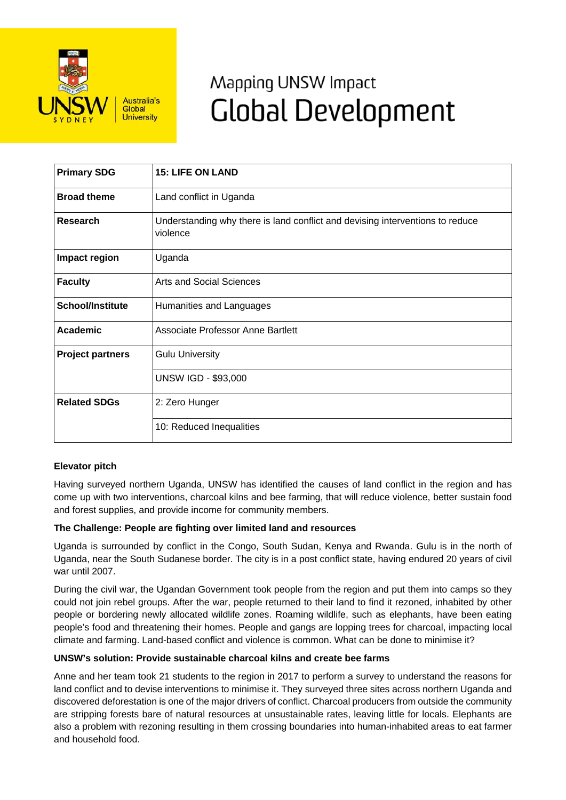

# Mapping UNSW Impact **Global Development**

| <b>Primary SDG</b>      | <b>15: LIFE ON LAND</b>                                                                   |
|-------------------------|-------------------------------------------------------------------------------------------|
| <b>Broad theme</b>      | Land conflict in Uganda                                                                   |
| Research                | Understanding why there is land conflict and devising interventions to reduce<br>violence |
| Impact region           | Uganda                                                                                    |
| <b>Faculty</b>          | <b>Arts and Social Sciences</b>                                                           |
| <b>School/Institute</b> | Humanities and Languages                                                                  |
| Academic                | Associate Professor Anne Bartlett                                                         |
| <b>Project partners</b> | <b>Gulu University</b>                                                                    |
|                         | <b>UNSW IGD - \$93,000</b>                                                                |
| <b>Related SDGs</b>     | 2: Zero Hunger                                                                            |
|                         | 10: Reduced Inequalities                                                                  |

## **Elevator pitch**

Having surveyed northern Uganda, UNSW has identified the causes of land conflict in the region and has come up with two interventions, charcoal kilns and bee farming, that will reduce violence, better sustain food and forest supplies, and provide income for community members.

### **The Challenge: People are fighting over limited land and resources**

Uganda is surrounded by conflict in the Congo, South Sudan, Kenya and Rwanda. Gulu is in the north of Uganda, near the South Sudanese border. The city is in a post conflict state, having endured 20 years of civil war until 2007.

During the civil war, the Ugandan Government took people from the region and put them into camps so they could not join rebel groups. After the war, people returned to their land to find it rezoned, inhabited by other people or bordering newly allocated wildlife zones. Roaming wildlife, such as elephants, have been eating people's food and threatening their homes. People and gangs are lopping trees for charcoal, impacting local climate and farming. Land-based conflict and violence is common. What can be done to minimise it?

### **UNSW's solution: Provide sustainable charcoal kilns and create bee farms**

Anne and her team took 21 students to the region in 2017 to perform a survey to understand the reasons for land conflict and to devise interventions to minimise it. They surveyed three sites across northern Uganda and discovered deforestation is one of the major drivers of conflict. Charcoal producers from outside the community are stripping forests bare of natural resources at unsustainable rates, leaving little for locals. Elephants are also a problem with rezoning resulting in them crossing boundaries into human-inhabited areas to eat farmer and household food.